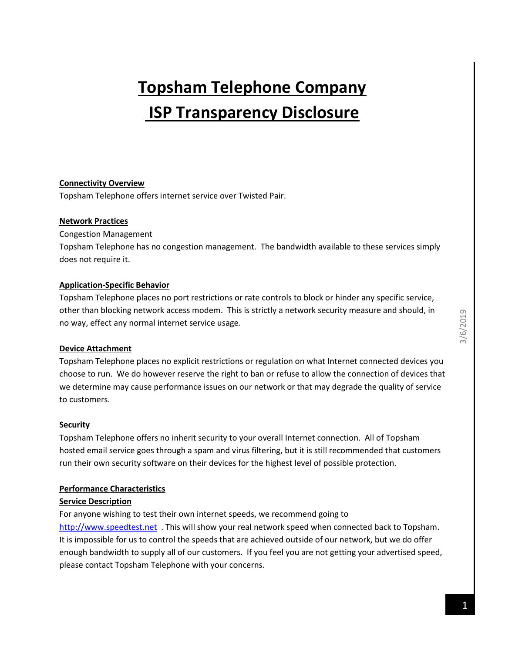# **Topsham Telephone Company ISP Transparency Disclosure**

### **Connectivity Overview**

Topsham Telephone offers internet service over Twisted Pair.

#### **Network Practices**

Congestion Management

Topsham Telephone has no congestion management. The bandwidth available to these services simply does not require it.

### **Application-Specific Behavior**

Topsham Telephone places no port restrictions or rate controls to block or hinder any specific service, other than blocking network access modem. This is strictly a network security measure and should, in no way, effect any normal internet service usage.

### **Device Attachment**

Topsham Telephone places no explicit restrictions or regulation on what Internet connected devices you choose to run. We do however reserve the right to ban or refuse to allow the connection of devices that we determine may cause performance issues on our network or that may degrade the quality of service to customers.

#### **Security**

Topsham Telephone offers no inherit security to your overall Internet connection. All of Topsham hosted email service goes through a spam and virus filtering, but it is still recommended that customers run their own security software on their devices for the highest level of possible protection.

### **Performance Characteristics**

### **Service Description**

For anyone wishing to test their own internet speeds, we recommend going to [http://www.speedtest.net](http://www.speedtest.net/) . This will show your real network speed when connected back to Topsham. It is impossible for us to control the speeds that are achieved outside of our network, but we do offer enough bandwidth to supply all of our customers. If you feel you are not getting your advertised speed, please contact Topsham Telephone with your concerns.